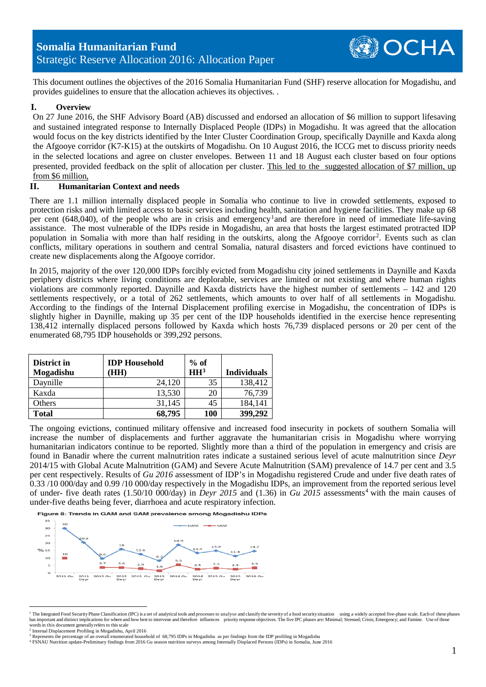This document outlines the objectives of the 2016 Somalia Humanitarian Fund (SHF) reserve allocation for Mogadishu, and provides guidelines to ensure that the allocation achieves its objectives. .

## **I. Overview**

On 27 June 2016, the SHF Advisory Board (AB) discussed and endorsed an allocation of \$6 million to support lifesaving and sustained integrated response to Internally Displaced People (IDPs) in Mogadishu. It was agreed that the allocation would focus on the key districts identified by the Inter Cluster Coordination Group, specifically Daynille and Kaxda along the Afgooye corridor (K7-K15) at the outskirts of Mogadishu. On 10 August 2016, the ICCG met to discuss priority needs in the selected locations and agree on cluster envelopes. Between 11 and 18 August each cluster based on four options presented, provided feedback on the split of allocation per cluster. This led to the suggested allocation of \$7 million, up from \$6 million,

### **II. Humanitarian Context and needs**

There are 1.1 million internally displaced people in Somalia who continue to live in crowded settlements, exposed to protection risks and with limited access to basic services including health, sanitation and hygiene facilities. They make up 68 per cent (648,040), of the people who are in crisis and emergency[1](#page-0-0)and are therefore in need of immediate life-saving assistance. The most vulnerable of the IDPs reside in Mogadishu, an area that hosts the largest estimated protracted IDP population in Somalia with more than half residing in the outskirts, along the Afgooye corridor[2](#page-0-1). Events such as clan conflicts, military operations in southern and central Somalia, natural disasters and forced evictions have continued to create new displacements along the Afgooye corridor.

In 2015, majority of the over 120,000 IDPs forcibly evicted from Mogadishu city joined settlements in Daynille and Kaxda periphery districts where living conditions are deplorable, services are limited or not existing and where human rights violations are commonly reported. Daynille and Kaxda districts have the highest number of settlements – 142 and 120 settlements respectively, or a total of 262 settlements, which amounts to over half of all settlements in Mogadishu. According to the findings of the Internal Displacement profiling exercise in Mogadishu, the concentration of IDPs is slightly higher in Daynille, making up 35 per cent of the IDP households identified in the exercise hence representing 138,412 internally displaced persons followed by Kaxda which hosts 76,739 displaced persons or 20 per cent of the enumerated 68,795 IDP households or 399,292 persons.

| District in<br>Mogadishu | <b>IDP</b> Household<br>(HH | $%$ of<br>HH <sup>3</sup> | <b>Individuals</b> |
|--------------------------|-----------------------------|---------------------------|--------------------|
| Daynille                 | 24,120                      | 35                        | 138,412            |
| Kaxda                    | 13,530                      | 20                        | 76,739             |
| Others                   | 31,145                      | 45                        | 184,141            |
| Total                    | 68,795                      | 100                       | 399,292            |

The ongoing evictions, continued military offensive and increased food insecurity in pockets of southern Somalia will increase the number of displacements and further aggravate the humanitarian crisis in Mogadishu where worrying humanitarian indicators continue to be reported. Slightly more than a third of the population in emergency and crisis are found in Banadir where the current malnutrition rates indicate a sustained serious level of acute malnutrition since *Deyr*  2014/15 with Global Acute Malnutrition (GAM) and Severe Acute Malnutrition (SAM) prevalence of 14.7 per cent and 3.5 per cent respectively. Results of *Gu 2016* assessment of IDP's in Mogadishu registered Crude and under five death rates of 0.33 /10 000/day and 0.99 /10 000/day respectively in the Mogadishu IDPs, an improvement from the reported serious level of under- five death rates (1.50/10 000/day) in *Deyr 2015* and (1.36) in *Gu 2015* assessments<sup>[4](#page-0-3)</sup> with the main causes of under-five deaths being fever, diarrhoea and acute respiratory infection.

Figure 8: Trends in GAM and SAM prevalence among Mogadishu IDPs



<span id="page-0-0"></span><sup>&</sup>lt;sup>1</sup> The Integrated Food Security Phase Classification (IPC) is a set of analytical tools and processes to analyse and classify the severity of a food security situation using a widely accepted five-phase scale. Each of the has important and distinct implications for where and how best to intervene and therefore influences priority response objectives. The five IPC phases are: Minimal; Stressed; Crisis; Emergency; and Famine. Use of those wor

<span id="page-0-3"></span><span id="page-0-2"></span><sup>4</sup> FSNAU Nutrition update-Preliminary findings from 2016 Gu season nutrition surveys among Internally Displaced Persons (IDPs) in Somalia, June 2016

OCHA

<span id="page-0-1"></span><sup>2</sup> Internal Displacement Profiling in Mogadishu, April 2016

e percentage of an overall enumerated household of 68,795 IDPs in Mogadishu as per findings from the IDP profiling in Mogadishu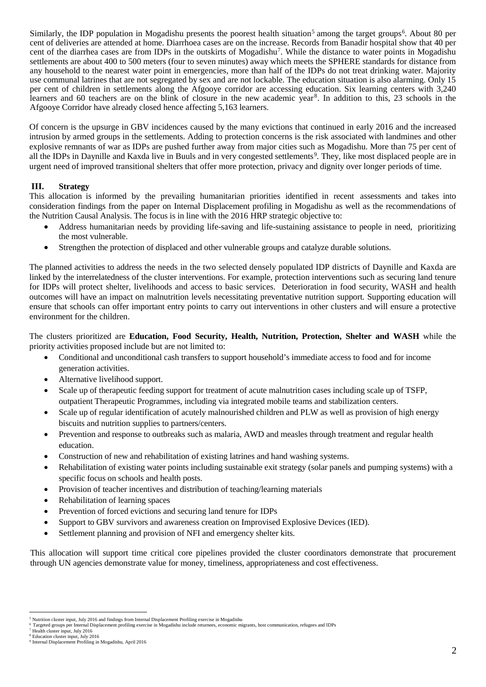Similarly, the IDP population in Mogadishu presents the poorest health situation<sup>[5](#page-1-0)</sup> among the target groups<sup>[6](#page-1-1)</sup>. About 80 per cent of deliveries are attended at home. Diarrhoea cases are on the increase. Records from Banadir hospital show that 40 per cent of the diarrhea cases are from IDPs in the outskirts of Mogadishu<sup>7</sup>. While the distance to water points in Mogadishu settlements are about 400 to 500 meters (four to seven minutes) away which meets the SPHERE standards for distance from any household to the nearest water point in emergencies, more than half of the IDPs do not treat drinking water. Majority use communal latrines that are not segregated by sex and are not lockable. The education situation is also alarming. Only 15 per cent of children in settlements along the Afgooye corridor are accessing education. Six learning centers with 3,240 learners and 60 teachers are on the blink of closure in the new academic year<sup>8</sup>. In addition to this, 23 schools in the Afgooye Corridor have already closed hence affecting 5,163 learners.

Of concern is the upsurge in GBV incidences caused by the many evictions that continued in early 2016 and the increased intrusion by armed groups in the settlements. Adding to protection concerns is the risk associated with landmines and other explosive remnants of war as IDPs are pushed further away from major cities such as Mogadishu. More than 75 per cent of all the IDPs in Daynille and Kaxda live in Buuls and in very congested settlements<sup>[9](#page-1-4)</sup>. They, like most displaced people are in urgent need of improved transitional shelters that offer more protection, privacy and dignity over longer periods of time.

## **III. Strategy**

This allocation is informed by the prevailing humanitarian priorities identified in recent assessments and takes into consideration findings from the paper on Internal Displacement profiling in Mogadishu as well as the recommendations of the Nutrition Causal Analysis. The focus is in line with the 2016 HRP strategic objective to:

- Address humanitarian needs by providing life-saving and life-sustaining assistance to people in need, prioritizing the most vulnerable.
- Strengthen the protection of displaced and other vulnerable groups and catalyze durable solutions.

The planned activities to address the needs in the two selected densely populated IDP districts of Daynille and Kaxda are linked by the interrelatedness of the cluster interventions. For example, protection interventions such as securing land tenure for IDPs will protect shelter, livelihoods and access to basic services. Deterioration in food security, WASH and health outcomes will have an impact on malnutrition levels necessitating preventative nutrition support. Supporting education will ensure that schools can offer important entry points to carry out interventions in other clusters and will ensure a protective environment for the children.

The clusters prioritized are **Education, Food Security, Health, Nutrition, Protection, Shelter and WASH** while the priority activities proposed include but are not limited to:

- Conditional and unconditional cash transfers to support household's immediate access to food and for income generation activities.
- Alternative livelihood support.
- Scale up of therapeutic feeding support for treatment of acute malnutrition cases including scale up of TSFP, outpatient Therapeutic Programmes, including via integrated mobile teams and stabilization centers.
- Scale up of regular identification of acutely malnourished children and PLW as well as provision of high energy biscuits and nutrition supplies to partners/centers.
- Prevention and response to outbreaks such as malaria, AWD and measles through treatment and regular health education.
- Construction of new and rehabilitation of existing latrines and hand washing systems.
- Rehabilitation of existing water points including sustainable exit strategy (solar panels and pumping systems) with a specific focus on schools and health posts.
- Provision of teacher incentives and distribution of teaching/learning materials
- Rehabilitation of learning spaces
- Prevention of forced evictions and securing land tenure for IDPs
- Support to GBV survivors and awareness creation on Improvised Explosive Devices (IED).
- Settlement planning and provision of NFI and emergency shelter kits.

This allocation will support time critical core pipelines provided the cluster coordinators demonstrate that procurement through UN agencies demonstrate value for money, timeliness, appropriateness and cost effectiveness.

<span id="page-1-1"></span><span id="page-1-0"></span>

<sup>-&</sup>lt;br><sup>5</sup> Nutrition cluster input, July 2016 and findings from Internal Displacement Profiling exercise in Mogadishu<br><sup>6</sup> Targeted groups per Internal Displacement profiling exercise in Mogadishu include returnees, economic mig

<span id="page-1-3"></span><span id="page-1-2"></span><sup>7</sup> Health cluster input, July 2016

<sup>8</sup> Education cluster input, July 2016

<span id="page-1-4"></span><sup>9</sup> Internal Displacement Profiling in Mogadishu, April 2016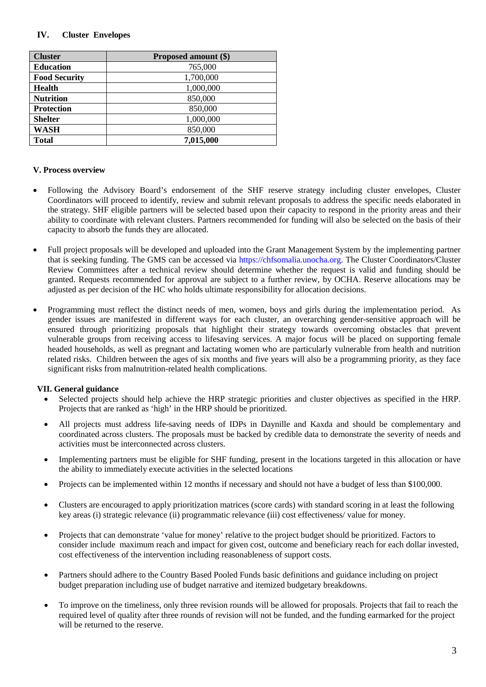## **IV. Cluster Envelopes**

| <b>Cluster</b>       | Proposed amount (\$) |  |
|----------------------|----------------------|--|
| <b>Education</b>     | 765,000              |  |
| <b>Food Security</b> | 1,700,000            |  |
| <b>Health</b>        | 1,000,000            |  |
| <b>Nutrition</b>     | 850,000              |  |
| <b>Protection</b>    | 850,000              |  |
| <b>Shelter</b>       | 1,000,000            |  |
| <b>WASH</b>          | 850,000              |  |
| <b>Total</b>         | 7,015,000            |  |

## **V. Process overview**

- Following the Advisory Board's endorsement of the SHF reserve strategy including cluster envelopes, Cluster Coordinators will proceed to identify, review and submit relevant proposals to address the specific needs elaborated in the strategy. SHF eligible partners will be selected based upon their capacity to respond in the priority areas and their ability to coordinate with relevant clusters. Partners recommended for funding will also be selected on the basis of their capacity to absorb the funds they are allocated.
- Full project proposals will be developed and uploaded into the Grant Management System by the implementing partner that is seeking funding. The GMS can be accessed via [https://chfsomalia.unocha.org.](https://chfsomalia.unocha.org/) The Cluster Coordinators/Cluster Review Committees after a technical review should determine whether the request is valid and funding should be granted. Requests recommended for approval are subject to a further review, by OCHA. Reserve allocations may be adjusted as per decision of the HC who holds ultimate responsibility for allocation decisions.
- Programming must reflect the distinct needs of men, women, boys and girls during the implementation period. As gender issues are manifested in different ways for each cluster, an overarching gender-sensitive approach will be ensured through prioritizing proposals that highlight their strategy towards overcoming obstacles that prevent vulnerable groups from receiving access to lifesaving services. A major focus will be placed on supporting female headed households, as well as pregnant and lactating women who are particularly vulnerable from health and nutrition related risks. Children between the ages of six months and five years will also be a programming priority, as they face significant risks from malnutrition-related health complications.

#### **VII. General guidance**

- Selected projects should help achieve the HRP strategic priorities and cluster objectives as specified in the HRP. Projects that are ranked as 'high' in the HRP should be prioritized.
- All projects must address life-saving needs of IDPs in Daynille and Kaxda and should be complementary and coordinated across clusters. The proposals must be backed by credible data to demonstrate the severity of needs and activities must be interconnected across clusters.
- Implementing partners must be eligible for SHF funding, present in the locations targeted in this allocation or have the ability to immediately execute activities in the selected locations
- Projects can be implemented within 12 months if necessary and should not have a budget of less than \$100,000.
- Clusters are encouraged to apply prioritization matrices (score cards) with standard scoring in at least the following key areas (i) strategic relevance (ii) programmatic relevance (iii) cost effectiveness/ value for money.
- Projects that can demonstrate 'value for money' relative to the project budget should be prioritized. Factors to consider include maximum reach and impact for given cost, outcome and beneficiary reach for each dollar invested, cost effectiveness of the intervention including reasonableness of support costs.
- Partners should adhere to the Country Based Pooled Funds basic definitions and guidance including on project budget preparation including use of budget narrative and itemized budgetary breakdowns.
- To improve on the timeliness, only three revision rounds will be allowed for proposals. Projects that fail to reach the required level of quality after three rounds of revision will not be funded, and the funding earmarked for the project will be returned to the reserve.